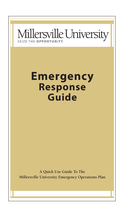

# **Emergency Response Guide**

**A Quick Use Guide To The Millersville University Emergency Operations Plan**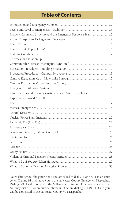### **Table of Contents**

| Incident Command Structure and the Emergency Response Team3     |  |
|-----------------------------------------------------------------|--|
|                                                                 |  |
|                                                                 |  |
|                                                                 |  |
|                                                                 |  |
|                                                                 |  |
|                                                                 |  |
|                                                                 |  |
|                                                                 |  |
|                                                                 |  |
|                                                                 |  |
|                                                                 |  |
| Evacuation Procedures - Evacuating Persons With Disabilities 15 |  |
|                                                                 |  |
|                                                                 |  |
|                                                                 |  |
|                                                                 |  |
|                                                                 |  |
|                                                                 |  |
|                                                                 |  |
|                                                                 |  |
|                                                                 |  |
|                                                                 |  |
|                                                                 |  |
|                                                                 |  |
|                                                                 |  |
|                                                                 |  |
|                                                                 |  |

Note: Throughout the guide book you are asked to dial 911 or 3-911 in an emergency. Dialing 911 will take you to the Lancaster County Emergency Dispatcher. Dialing 3-911 will take you to the Millersville University Emergency Dispatcher. You may dial "9" (for an outside phone line) before dialing 911 (9-911) and you will be connected to the Lancaster County 911 Dispatcher.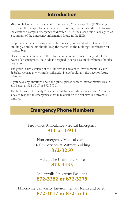### **Introduction**

Millersville University has a detailed Emergency Operations Plan (EOP) designed to prepare the campus for an emergency including specific procedures to follow in the event of a campus emergency or disaster. This Quick Use Guide is designed as a summary of the emergency information found in the EOP.

Keep this manual in an easily accessible area so you have it when it is needed. Building Coordinators should keep the manual in the Building Coordinator Kit (storage bag).

Please become familiar with the information contained inside the guide. In the event of an emergency, the guide is designed to serve as a quick reference for effective action.

The guide is also available at the Millersville University Environmental Health & Safety website at www.millersville.edu. Please bookmark the page for future reference.

If you have any questions about the guide, please contact Environmental Health and Safety at 872-3017 or 872-3715.

The Millersville University Police are available seven days a week, and 24 hours a day to respond to emergencies that may occur on the Millersville University campus.

### **Emergency Phone Numbers**

Fire-Police-Ambulance-Medical Emergency 911 or 3-911

Non-emergency Medical Care – Health Services at Witmer Building 872-3250

Millersville University Police 872-3433

Millersville University Facilities 872-3282 or 872-3275

Millersville University Environmental Health and Safety 872-3017 or 872-3715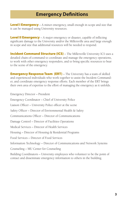### **Emergency Definitions**

**Level I Emergency** – A minor emergency, small enough in scope and size that it can be managed using University resources.

**Level II Emergency** – A major emergency or disaster, capable of inflicting significant damage to the University and/or the Millersville area and large enough in scope and size that additional resources will be needed to respond.

**Incident Command Structure (ICS)** – The Millersville University ICS uses a detailed chain-of-command to coordinate and manage the emergency operations, to work with other emergency responders, and to bring specific resources to bear to the scene of the emergency.

**Emergency Response Team (ERT)** – The University has a team of skilled and experienced individuals who work together to assist the Incident Commander, and coordinate emergency response efforts. Each member of the ERT brings their own area of expertise to the effort of managing the emergency as it unfolds.

Emergency Director – President Emergency Coordinator – Chief of University Police Liaison Officer – University Police officer at the scene Safety Officer – Director of Environmental Health & Safety Communications Officer – Director of Communications Damage Control – Director of Facilities Operations Medical Services – Director of Health Services Housing – Director of Housing & Residential Programs Food Services – Director of Food Services Information Technology – Director of Communications and Network Systems Counseling – MU Center for Counseling Building Coordinators – University employees who volunteer to be the point of contact and disseminate emergency information to others in the building.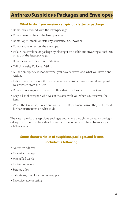### **Anthrax/Suspicious Packages and Envelopes**

#### **What to do if you receive a suspicious letter or package**

- Do not walk around with the letter/package.
- Do not merely discard the letter/package.
- Do not open, smell, or taste any substance, i.e., powder.
- Do not shake or empty the envelope.
- Isolate the envelope or package by placing it on a table and inverting a trash can on top of the letter/package.
- Do not evacuate the entire work area.
- Call University Police at 3-911.
- Tell the emergency responder what you have received and what you have done with it.
- Indicate whether or not the item contains any visible powder and if any powder was released from the item.
- Do not allow anyone to leave the office that may have touched the item.
- Keep a list of everyone who was in the area with you when you received the item.
- When the University Police and/or the EHS Department arrive, they will provide further instructions on what to do.

The vast majority of suspicious packages and letters thought to contain a biological agent are found to be either hoaxes, or contain non-harmful substances (or no substance at all).

#### **Some characteristics of suspicious packages and letters include the following:**

- No return address
- Excessive postage
- Misspelled words
- Protruding wires
- Strange odor
- Oily stains, discoloration on wrapper
- Excessive tape or string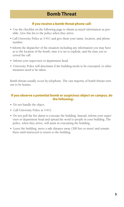#### **If you receive a bomb threat phone call:**

- Use the checklist on the following page to obtain as much information as possible. Give this list to the police when they arrive.
- Call University Police at 3-911 and give them your name, location, and phone number.
- Inform the dispatcher of the situation including any information you may have as to the location of the bomb, time it is set to explode, and the time you received the call.
- Inform your supervisor or department head.
- University Police will determine if the building needs to be evacuated, or other measures need to be taken.

Bomb threats usually occur by telephone. The vast majority of bomb threats turn out to be hoaxes.

#### **If you observe a potential bomb or suspicious object on campus, do the following:**

- Do not handle the object.
- Call University Police at 3-911.
- Do not pull the fire alarm to evacuate the building. Instead, inform your supervisor or department head and spread the word to people in your building. The police, when they arrive, will assist in evacuating the building.
- Leave the building, move a safe distance away (300 feet or more) and remain there until instructed to return to the building.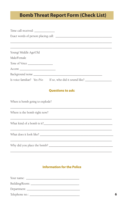### **Bomb Threat Report Form (Check List)**

| Time call received: ______________                       |
|----------------------------------------------------------|
|                                                          |
|                                                          |
|                                                          |
| Young/ Middle Age/Old                                    |
| Male/Female                                              |
| Tone of Voice                                            |
|                                                          |
|                                                          |
| Is voice familiar? Yes /No If so, who did it sound like? |
|                                                          |

#### **Questions to ask:**

When is bomb going to explode?

Where is the bomb right now?

#### **Information for the Police**

| Your name:               |  |  |
|--------------------------|--|--|
| Building/Room: _________ |  |  |
| Department:              |  |  |
| Telephone no.: _         |  |  |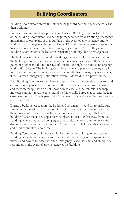### **Building Coordinators**

Building Coordinators are volunteers who help coordinate emergency activities at their buildings.

Each campus building has a primary and back up Building Coordinator. The role of the Building Coordinator is to be the primary source for distributing emergency information to occupants of that building in the event of an emergency, and to work with the Emergency Response Team (ERT) and other emergency responders to share information and coordinate emergency activities. Also, if they chose, the Building Coordinator is the leader in evacuating buildings during emergencies.

The Building Coordinator should pass along emergency information to those at the building who may not have an information source (such as a cell phone, computer, or phone) and did not receive information through the campus Emergency Notification System. The Building Coordinator can also pass along emergency information to building occupants via word of mouth, from emergency responders, if the Campus Emergency Notification System is down due to a power failure.

Each Building Coordinator will have a supply of campus evacuation maps to hand out to the occupants of their building in the event there is a campus evacuation and there are people who do not know how to evacuate the campus. The map indicates common roads leading out of the Millersville Borough area, and the Lancaster County area. This is part of the "Emergency Evacuations – Campus Evacuations" protocol.

During a building evacuation, the Building Coordinator should try to make sure people in the building leave the building quickly and do so via the nearest exit, then move a safe distance away from the building. It is encouraged that each building (department) develop a meeting place, at least 100 feet away from the building, where they can all congregate and conduct a head count for every fire drill or actual evacuation. The Building Coordinator can help lead this evacuation and head count, if they so chose.

Building Coordinators will receive initial and refresher training in how to conduct building evacuations, campus evacuations, and other emergency response techniques, and how to interface with the Emergency Response Team and emergency responders in the event of an emergency at the building.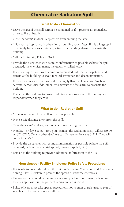### **Chemical or Radiation Spill**

#### **What to do – Chemical Spill**

- Leave the area if the spill cannot be contained or if it presents an immediate threat to life or health.
- Close the room/lab door, keep others from entering the area.
- If it is a small spill; notify others in surrounding rooms/labs. If it is a large spill or a highly hazardous substance; activate the building alarm to evacuate the building.
- Call the University Police at 3-911.
- Provide the dispatcher with as much information as possible (where the spill occurred, the chemical name, the quantity spilled, etc.).
- If you are injured or have become contaminated, inform the dispatcher and remain at the building to await medical assistance and decontamination.
- If there is a fire or if you have spilled a highly flammable material (such as acetone, carbon disulfide, ether, etc.) activate the fire alarm to evacuate the building.
- Remain at the building to provide additional information to the emergency responders when they arrive.

#### **What to do – Radiation Spill**

- Contain and control the spill as much as possible.
- Move a safe distance away from the spill.
- Close the room/lab door, keep others from entering the area.
- Monday Friday, 8 a.m. 4:30 p.m., contact the Radiation Safety Officer (RSO) at 872-3715. On any other day/time call University Police at 3-911. They will contact the RSO.
- Provide the dispatcher with as much information as possible (where the spill occurred, radioactive material spilled, quantity spilled, etc.)
- Remain at the building to provide additional information to the RSO.

#### **Housekeeper, Facility Employee, Police Safety Procedures**

- If it is safe to do so, shut down the building's Heating Ventilation and Air-Conditioning (HVAC) system to prevent the spread of airborne chemicals.
- University staff should not attempt to clean up a hazardous material leak, release, or spill without the proper training and equipment.
- Police officers must take special precautions not to enter unsafe areas as part of search and discovery or rescue efforts.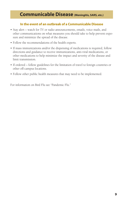### **Communicable Disease (Meningitis, SARS, etc.)**

#### **In the event of an outbreak of a Communicable Disease**

- Stay alert watch for TV or radio announcements, emails, voice mails, and other communications on what measures you should take to help prevent exposure and minimize the spread of the disease.
- Follow the recommendations of the health experts.
- If mass immunizations and/or the dispensing of medications is required, follow directions and guidance to receive immunizations, anti-viral medications, or other medications to help minimize the impact and severity of the disease and limit transmission.
- If ordered follow guidelines for the limitation of travel to foreign countries or other off-campus locations.
- Follow other public health measures that may need to be implemented.

For information on Bird Flu see "Pandemic Flu."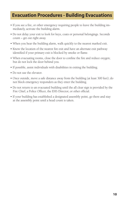### **Evacuation Procedures - Building Evacuations**

- If you see a fire, or other emergency requiring people to leave the building immediately, activate the building alarm.
- Do not delay your exit to look for keys, coats or personal belongings. Seconds count – get out right away.
- When you hear the building alarm, walk quickly to the nearest marked exit.
- Know the location of the nearest fire exit and have an alternate exit pathway identified if your primary exit is blocked by smoke or flame.
- When evacuating rooms, close the door to confine the fire and reduce oxygen; but do not lock the door behind you.
- If possible, assist individuals with disabilities in exiting the building.
- Do not use the elevator.
- Once outside, move a safe distance away from the building (at least 300 feet); do not block emergency responders as they enter the building.
- Do not return to an evacuated building until the all clear sign is provided by the Fire Chief, a Police Officer, the EHS Director, or other official.
- If your building has established a designated assembly point, go there and stay at the assembly point until a head count is taken.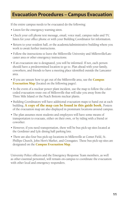### **Evacuation Procedures – Campus Evacuation**

If the entire campus needs to be evacuated do the following:

- Listen for the emergency warning siren.
- Check your cell phone text message, email, voice mail, campus radio and TV, listen for your office phone or with your Building Coordinator for information.
- Return to your resident hall, or the academic/administrative building where you work to await further instructions.
- Follow the instructions to leave the Millersville University and Millersville/Lancaster area or other emergency instructions.
- If an evacuation site is designated, you will be informed. If not, each person should have a predetermined location to go to. Plan ahead with your family, coworkers, and friends to have a meeting place identified outside the Lancaster area.
- If you are unsure how to get out of the Millersville area, use the **Campus Evacuation Map** (located on the following pages).
- In the event of a nuclear power plant incident, use the map to follow the colorcoded evacuation route out of Millersville that will take you away from the Three Mile Island or the Peach Bottom nuclear plants.
- Building Coordinators will have additional evacuation maps to hand out at each building. **A copy of the map can be found in this guide book.** Posters of the evacuation map are also displayed in prominant locations around campus.
- The plan assumes most students and employees will have some means of transportation to evacuate, either on their own, or by riding with a friend or coworker.
- However, if you need transportation, there will be bus pick-up sites located at the Gordinier and Lyle dining hall parking lots.
- There are also four bus pick-up locations in Millersville at Comet Field, St. Phillips Church, John Herr's Market, and Crossgates. These bus pick-up sites are designated on the **Campus Evacuation Map**.

University Police officers and the Emergency Response Team members, as well as other essential personnel, will remain on-campus to coordinate the evacuation with other local and emergency responders.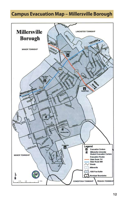### **Campus Evacuation Map – Millersville Borough**

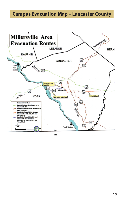### **Campus Evacuation Map – Lancaster County**



MD.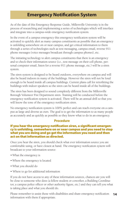### **Emergency Notification System**

As of the date of this Emergency Response Guide, Millersville University is in the process of researching and implementing a series of technologies which will interface and integrate into a campus-wide emergency notification system.

In the event of a campus emergency this emergency notification system will be activated to quickly alert as many campus constituents as possible that an emergency is unfolding somewhere on or near campus, and get critical information to them through a series of technologies such as text messaging, campus email, reverse 911 phone messages (voice messages broadcast through campus phones), etc.

The initiating technology to alert campus constituents that there is an emergency and to check their information source (i.e., text message on their cell phone, personal computer email, listen for a reverse 911 phone message, etc.) will be a siren system.

The siren system is designed to be heard outdoors, everywhere on campus and will also be heard indoors in many of the buildings. However the siren will not be loud enough to be heard inside all campus buildings. Current plans call for retrofitting the buildings with indoor speakers so the siren can be heard inside all of the buildings.

The siren has been designed to sound completely different from the Millersville Borough Volunteer Fire Department siren. Training will be conducted before the emergency notification system is activated. There will be an annual drill so that you will know the tone of the emergency notification siren.

No emergency notification system is 100% perfect and can reach everyone on a campus as large and diverse as ours. The goal is to get the information to as many people as accurately and as quickly as possible so they know what to do in an emergency.

#### **Procedure**

#### If you hear the emergency notification siren, a significant emergency is unfolding, somewhere on or near campus and you need to stop what you are doing and go get the information you need and then act on that information as directed.

Once you hear the siren, you should check what ever information source you are comfortable using, or have closest at hand. The emergency notification system will broadcast to your information source:

- •What the emergency is
- •Where the emergency is located
- •What you should do
- Where to go for additional information

If you do not have access to any of these information sources, chances are you will be close to someone who does (a fellow student or coworker, a Building Coordinator, a campus police officer or other authority figure, etc.) and they can tell you what is taking place and what you should do.

**14** Please remember to assist those with disabilities and share emergency notification information with them if appropriate.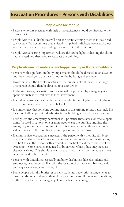### **Evacuation Procedures – Persons with Disabilities**

#### **People who are mobile**

- •Persons who can evacuate with little or no assistance should be directed to the nearest exit.
- People with visual disabilities will hear the sirens warning them that they need to evacuate. Do not assume that a visually impaired individual needs assistance; ask them if they need help finding their way out of the building.
- People with a hearing impairment will see the strobe lights indicating the alarm has activated and they need to evacuate the building.

#### **People who are not mobile or are trapped on upper floors of buildings**

- Persons with significant mobility impairments should be directed to an elevator and they should go to the lowest floor of the building and evacuate.
- However, when the fire alarm activates, the building elevators will disengage. The person should then be directed to a stair tower.
- In the stair tower, evacuation and rescue will be provided by emergency responders such as the Millersville Fire Department.
- If another person can wait with the person who is mobility-impaired, in the stair tower, until rescuers arrive, that is helpful.
- It is imperative that someone communicate to the arriving rescue personnel. The location of all people with disabilities in the building and their exact location.
- Firefighters and emergency personnel will prioritize these areas for rescue operations. In ideal situations, one or more people exit the building and find the emergency responders to communicate this information, while another individual waits with the mobility impaired person in the stair tower.
- If an immediate evacuation is necessary, the person with a mobility disability may not be able to wait for rescue by emergency responders. In this situation, it is best to ask the person with a disability how best to aid them and effect the evacuation. Some persons may need to be carried, while others may need assistance walking. This should always be a last resort when an immediate threat is determined to be present.
- Persons with disabilities, especially mobility disabilities, like all students and employees, need to be familiar with the location of primary and back-up exit pathways, elevators, stair towers, etc.
- Some people with disabilities, especially students, make prior arrangements to have friends come and assist them if they are on the top floors of our buildings, in the event of a fire or emergency. This practice is encouraged.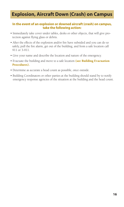### **Explosion, Aircraft Down (Crash) on Campus**

#### **In the event of an explosion or downed aircraft (crash) on campus, take the following action:**

- Immediately take cover under tables, desks or other objects, that will give protection against flying glass or debris.
- After the effects of the explosion and/or fire have subsided and you can do so safely, pull the fire alarm, get out of the building, and from a safe location call 911 or 3-911.
- Give your name and describe the location and nature of the emergency.
- Evacuate the building and move to a safe location (see Building Evacuation Procedures).
- Determine as accurate a head count as possible, once outside.
- Building Coordinators or other parties at the building should stand by to notify emergency response agencies of the situation at the building and the head count.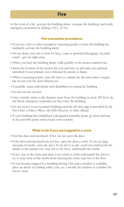### **Fire**

In the event of a fire, activate the building alarm, evacuate the building, and notify emergency personnel by dialing 3-911, or 911.

#### **Fire evacuation procedures**

- If you see a fire or other emergency requiring people to leave the building immediately, activate the building alarm.
- Do not delay your exit to look for keys, coats or personal belongings. Seconds count – get out right away.
- When you hear the building alarm, walk quickly to the nearest marked exit.
- Know the location of the nearest fire exit and have an alternate exit pathway identified if your primary exit is blocked by smoke or flame.
- When evacuating rooms, close the door to confine the fire and reduce oxygen; but do not lock the door behind you.
- If possible, assist individuals with disabilities in exiting the building.
- Do not use the elevator.
- Once outside, move a safe distance away from the building (at least 300 feet); do not block emergency responders as they enter the building.
- Do not return to an evacuated building until the all clear sign is provided by the Fire Chief, a Police Officer, the EHS Director, or other official.
- If your building has established a designated assembly point, go there and stay at the assembly point until a head count is taken.

#### **What to do if you are trapped in a room**

- Feel the door and doorknob. If hot, do not open the door.
- If the door and doorknob are not hot, open the door a crack. If you see large amounts of smoke, close the door. If you feel it is safe, crawl out underneath the smoke to the nearest exit. Stay low to the floor, underneath the smoke.
- If not, stay in the room and place a wet towel or cloth underneath the door to try to stop some of the smoke from entering the room. Stay low to the floor.
- If you become trapped in a building during a fire and a window is available, place an article of clothing (shirt, coat, etc.) outside the window as a marker for rescue crews.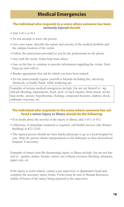### **Medical Emergencies**

#### **The individual who responds to a scene where someone has been seriously injured should:**

- Dial 3-911 or 911.
- Do not attempt to move the person.
- Give your name; describe the nature and severity of the medical problem and the campus location of the victim.
- Follow the instructions provided to you by the professional on the phone.
- Stay with the victim. Enlist help from others.
- Stay on the line to continue to provide information regarding the victim. Don't hang up until told to.
- Render appropriate first aid for which you have been trained.
- Do not unnecessarily expose yourself to hazards including fire, electricity, chemicals, or bodily fluids, while rendering aid.

Examples of serious medical emergencies include, but are not limited to: significant bleeding, amputations, head, neck, or back injuries, heart attack, stroke, heat stroke, seizure, hypothermia, choking, compound fractures, diabetic shock, asthmatic reactions, etc.

#### **The individual who responds to the scene where someone has suffered a minor injury or illness should do the following:**

- If in doubt about the severity of the injury or illness, dial 3-911 or 911.
- Otherwise, if immediate treatment is required, call Health Services (the Witmer Building) at 872-3250.
- The injured person should see their family physician or go to a local hospital for care. Help the person obtain transportation to the Infirmary or their doctor/local hospital, if necessary.

Examples of minor (non life threatening) injury or illness include, but are not limited to: sprains, strains, bruises, minor cuts without excessive bleeding, abrasions, paper cuts, etc.

If the injury is work-related, contact your supervisor or department head and complete the necessary injury forms. Forms must be sent to Human Resources within 24 hours of the injury being reported to the supervisor.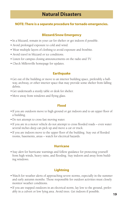### **Natural Disasters**

#### **NOTE: There is a separate procedure for tornado emergencies.**

#### **Blizzard/Snow Emergency**

- In a blizzard, remain in your car for shelter or get indoors if possible.
- Avoid prolonged exposure to cold and wind.
- Wear multiple layers of clothing to avoid exposure and frostbite.
- Avoid travel in blizzard or ice conditions.
- Listen for campus closing announcements on the radio and TV.
- Check Millersville homepage for updates.

#### **Earthquake**

- •Get out of the building or move to an interior building space, preferably a hallway, archway, or other interior space that may provide some shelter from falling debris.
- •Get underneath a sturdy table or desk for shelter.
- Move away from windows and flying glass.

#### **Flood**

- If you are outdoors move to high ground or get indoors and to an upper floor of a building.
- •Do not attempt to cross fast moving water.
- If you are in a motor vehicle do not attempt to cross flooded roads even water several inches deep can pick up and move a car or truck.
- If you are indoors move to the upper floor of the building. Stay out of flooded rooms, basements, areas – watch for electrical hazards.

#### **Hurricane**

• Stay alert for hurricane warnings and follow guidance for protecting yourself from high winds, heavy rains, and flooding. Stay indoors and away from building windows.

#### **Lightning**

- •Watch for weather alerts of approaching severe storms, especially in the summer and early autumn months. Those responsible for outdoor activities must closely monitor weather conditions.
- If you are trapped outdoors in an electrical storm, lay low to the ground, preferably in a culvert or low lying area. Avoid trees. Get indoors if possible.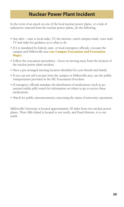### **Nuclear Power Plant Incident**

In the event of an attack on one of the local nuclear power plants, or a leak of radioactive material from the nuclear power plants, do the following:

- Stay alert tune to local radio, TV, the internet, watch campus email, voice mail, TV and radio for guidance as to what to do.
- If it is mandated by federal, state, or local emergency officials, evacuate the campus and Millersville area (see Campus Evacuation and Evacuation Maps).
- Follow the evacuation procedures focus on moving away from the location of the nuclear power plant incident.
- Have a pre-arranged meeting location identified for your friends and family
- If you can not self evacuate from the campus or Millersville area, use the public transportation provided in the MU Evacuation Procedure.
- If emergency officials mandate the distribution of medications (such as potassium iodide pills) watch for information on where to go to receive these medications.
- Watch for public announcements concerning the status of university operations.

Millersville University is located approximately 50 miles from two nuclear power plants. Three Mile Island is located to our north, and Peach Bottom, is to our south.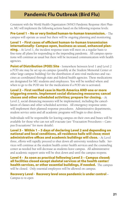### **Pandemic Flu Outbreak (Bird Flu)**

Consistent with the World Health Organization (WHO) Pandemic Response Alert Phases, MU will implement the following actions based on the following response levels:

Pre-Level 1 – No or very limited human-to-human transmission. - The campus will operate as usual but there will be ongoing planning and monitoring.

#### Level 1 – First cases of efficient human-to-human transmission internationally- Campus open, business as usual, enhanced plan-

**ning.** - At Level 1, the incident response team will meet on a regular basis to fine-tune all plans for responding to the impending pandemic. All campus operations will continue as usual but there will be increased communication with health agencies.

**Point of Distribution (POD) Site** - Somewhere between level 1 and Level 2 a POD site may be set up on campus (possibly at the Student Memorial Center or other large campus building) for the distribution of anti-viral medicines and vaccines as coordinated through state and federal health agencies. These medications are designated for MU students and employees. You will be notified where and when to go to the POD site for the medications if a POD site is activated.

#### Level 2 – First verified case in North America AND one or more triggering events. Implement social distancing measures; cancel classes and other scheduled activities; prepare for closing. - At

Level 2, social distancing measures will be implemented, including the cancellation of classes and other scheduled activities. All emergency response units will implement their planned response procedures. Administrative departments, student service units and all academic programs will begin to shut down.

Individuals will be responsible for leaving campus on their own and buses will be available for those who can not self evacuate (see "Evacuation Procedures – Campus Evacuations" for more details).

#### Level 3 - Within 1 – 5 days of declaring Level 2 and depending on national and local conditions, all residence halls will close; most administrative offices and academic buildings will close. - At Level

three, efforts will rapidly proceed to shut down all university residence halls. Services will continue at the student health center health services and the counseling center as needed but will decrease as students leave campus. All administrative and academic support units will be shut down and until the campus reopens.

Level 4 - As soon as practical following Level 3 – Campus closed; all facilities closed except skeletal services at the health center/ health services, or other essential buildings, if needed. The campus will be closed. Only essential employees will be allowed on campus.

#### Recovery Level - Recovery level once pandemic is under control –

Campus to re-open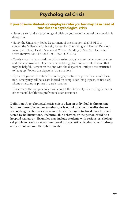#### **If you observe students or employees who you feel may be in need of care due to a psychological crisis**

- Never try to handle a psychological crisis on your own if you feel the situation is dangerous.
- Notify the University Police Department of the situation, dial (3-911) or contact the Millersville University Center for Counseling and Human Development (ext. 3122), Health Services at Witmer Building (872-3250) Lancaster Crisis Intervention (394-2631 or 1-800-SUICIDE.)
- Clearly state that you need immediate assistance; give your name, your location and the area involved. Describe what is taking place and any information that may be helpful. Remain on the line with the dispatcher until you are instructed to hang up. Follow the dispatcher's instructions.
- If you feel you are threatened or in danger, contact the police from a safe location. Emergency call boxes are located on campus for this purpose, or use a cell phone or a campus phone in a safe location.
- If necessary, the campus police will contact the University Counseling Center or other mental health care professionals for assistance.

**Definition: A psychological crisis exists when an individual is threatening harm to himself/herself or to others, or is out of touch with reality due to severe drug reactions or a psychotic break. A psychotic break may be manifested by hallucinations, uncontrollable behavior, or the person could be a hospital walkaway. Examples may include students with serious psychological problems, such as severe emotional or psychotic episodes, abuse of drugs and alcohol, and/or attempted suicide.**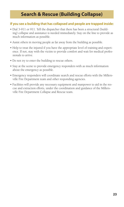### **Search & Rescue (Building Collapse)**

#### **If you see a building that has collapsed and people are trapped inside:**

- Dial 3-911 or 911. Tell the dispatcher that there has been a structural (building) collapse and assistance is needed immediately. Stay on the line to provide as much information as possible.
- Assist others in moving people as far away from the building as possible.
- Help to treat the injured if you have the appropriate level of training and experience. If not, stay with the victim to provide comfort and wait for medical professionals to arrive.
- Do not try to enter the building to rescue others.
- Stay at the scene to provide emergency responders with as much information about the emergency as possible.
- Emergency responders will coordinate search and rescue efforts with the Millersville Fire Department team and other responding agencies.
- Facilities will provide any necessary equipment and manpower to aid in the rescue and extraction efforts, under the coordination and guidance of the Millersville Fire Department Collapse and Rescue team.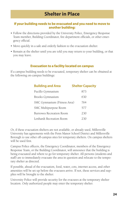#### **If your building needs to be evacuated and you need to move to another building:**

- Follow the directions provided by the University Police, Emergency Response Team member, Building Coordinator, fire department officials, or other emergency official.
- Move quickly in a safe and orderly fashion to the evacuation shelter.
- Remain at the shelter until you are told you may return to your building, or that you may leave.

#### **Evacuation to a facility located on campus**

If a campus building needs to be evacuated, temporary shelter can be obtained at the following on-campus buildings:

| <b>Building and Area</b>     | <b>Shelter Capacity</b> |
|------------------------------|-------------------------|
| Pucillo Gymnasium            | 873                     |
| Brooks Gymnasium             | 630                     |
| SMC Gymnasium (Fitness Area) | 764                     |
| SMC Multipurpose Room        | 577                     |
| Burrowes Recreation Room     | 230                     |
| Lenhardt Recreation Room     | 230                     |

Or, if these evacuation shelters are not available, or already used, Millersville University has agreements with the Penn Manor School District and Millersville Borough to use other off-campus sites for temporary shelters. On campus shelters will be used first.

Campus Police officers, the Emergency Coordinator, members of the Emergency Response Team, or the Building Coordinator, will announce that the building is being evacuated and where to go for temporary shelter. All persons (students and staff) are to immediately evacuate the area in question and relocate to the temporary shelter as directed.

If possible, ahead of the evacuation, food, water, cots, internet access, and other amenities will be set up before the evacuees arrive. If not, these services and supplies will be brought to the shelter.

University Police will provide security for the evacuees at the temporary shelter location. Only authorized people may enter the temporary shelter.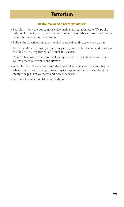### **Terrorism**

#### **In the event of a terrorist attack**

- Stay alert look to your campus voice mail, email, campus radio, TV, public radio or TV, the internet, the Millerville homepage or other means of communication for directives on what to do.
- Follow the directives that are provided as quickly and as safely as you can.
- Be prepared: have a supply of necessary emergency materials on hand as recommended by the Department of Homeland Security.
- Make a plan: know where you will go if you have to leave the area and where you will meet your family and friends.
- Stay informed. Know more about the potential emergencies that could happen where you live and the appropriate way to respond to them. Know about the emergency plans in your area and how they work.
- For more information visit www.ready.gov.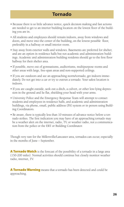### **Tornado**

- Because there is so little advance notice, quick decision making and fast actions are needed to get to an interior building location on the lowest floor of the building you are in.
- All students and employees should remain indoors, away from windows and doors, and move into the center of the building, on the lowest possible floor, preferably in a hallway or small interior room.
- Stay away from exterior walls and windows. Basements are preferred for shelter, and are an option in residence halls but not academic and administration buildings. Academic and administration building residents should go to the first floor hallway for their shelter area.
- If possible, move out of gymnasiums, auditoriums, multipurpose rooms and other areas with large, free-span areas and non-supported ceilings.
- If you are outdoors and see an approaching storm/tornado, get indoors immediately. Do not get into a car or try to outrun a tornado. Your safest location is indoors.
- If you are caught outside, seek out a ditch, a culvert, or other low-lying depression in the ground and lie flat, shielding your head with your arms.
- University Police and the Emergency Response Team will attempt to contact students and employees in residence halls, and academic and administration buildings, via phone, email, public address (PA) system or in person using Building Coordinators.
- Be aware, there is typically less than 10 minutes of advance notice before a tornado strikes. The first indication you may have of an approaching tornado may be a weather alert on the internet, radio, TV, or weather radio, not a communication from the police or the ERT or Building Coordinator.

Though very rare for the Millersville/Lancaster area, tornados can occur, especially in the months of June – September.

**A Tornado Watch** is the forecast of the possibility of a tornado in a large area (150-200 miles). Normal activities should continue but closely monitor weather radio, internet, TV.

**A Tornado Warning** means that a tornado has been detected and could be approaching.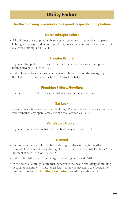### **Utility Failure**

#### **Use the following procedures to respond to specific utility failures**

#### **Electrical/Light Failure**

• All buildings are equipped with emergency generators to provide emergency lighting to hallways and areas of public egress so that you can find your way out of a dark building. Call 3-911.

#### **Elevator Failure:**

- If you are trapped in the elevator, use the emergency phone or a cell phone to notify University Police at 3-911.
- If the elevator does not have an emergency phone, turn on the emergency alarm (located on the front panel), which will signal for help.

#### **Plumbing Failure/Flooding:**

• Call 3-911. To avoid electrical hazard, do not enter a flooded area.

#### **Gas Leak:**

• Cease all operations and evacuate building. Do not activate electrical equipment and extinguish any open flames. From a safe location call 3-911.

#### **Ventilation Problem**

• If you see smoke coming from the ventilation system, call 3-911.

#### **General**

- For non-emergency utility problems during regular working hours (8 a.m. through 4:30 p.m., Monday through Friday), immediately notify Facilities Management at 872-3275 or 872-3282.
- If the utility failure occurs after regular working hours, call 3-911.
- In the event of a utility failure that jeopardizes the health and safety of building occupants (example – a natural gas leak), it may be necessary to evacuate the building. Follow the **Building Evacuation** procedures in this guide.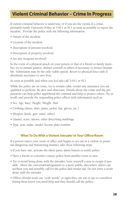### **Violent Criminal Behavior – Crime In Progress**

If violent criminal behavior is underway, or if you are the victim of a crime, promptly notify University Police at 3-911 or 911 as soon as possible to report the incident. Provide the police with the following information:

- Nature of the incident.
- Location of the incident.
- Description of persons involved.
- Description of property involved.
- Are any weapons involved?

In the event of a physical attack on your person or that of a friend or family member, try to remain passive; defend yourself or others if necessary to protect human life. Submission may be the only viable option. Resort to physical force only if absolutely necessary to save lives.

As soon as possible and when you feel safe call 3-911 or 911.

While the police are on route, try to remain calm, render any assistance you are qualified to perform. Be alert and observant. Details about the crime and the perpetrators can help police apprehend the criminal and help to protect others. Try to recall, and provide the responding police officer with information such as:

- Sex, Age, Race, Height, Weight, Hair.
- Clothing (shoes, shirt, pants, jacket, hat, gloves, etc.).
- Weapon (knife, gun, mace, other).
- Glasses, scars, tattoos, other discerning markings.
- Type, year, make, model, license plate number.

#### **What To Do With a Violent Intruder in Your Office/Room**

If a person enters your room or office and begins to act out in a violent or potential dangerous and threatening manner, take these following steps:

- If you have one, activate the silent panic alarm button to notify police.
- Have a friend or coworker contact police from another room or area
- Try to avoid being alone with the intruder, leave yourself a way to escape if possible. Move the conversation/argument to a more public area where others can see/hear you and possibly call for the police and render aid. Do not enter a room alone with the intruder.
- Offices should work out "code words" or signs they can use to say to coworkers letting them know you need help and they should call the police.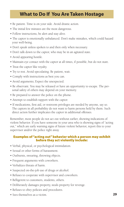### **What to Do If You Are Taken Hostage**

- Be patient. Time is on your side. Avoid drastic action.
- The initial few minutes are the most dangerous.
- Follow instructions, be alert and stay alive.
- The captor is emotionally unbalanced. Don't make mistakes, which could hazard your well-being.
- Don't speak unless spoken to and then only when necessary.
- Don't talk down to the captor, who may be in an agitated state.
- Avoid appearing hostile.
- Maintain eye contact with the captor at all times, if possible, but do not stare.
- Treat the captor like royalty.
- Try to rest. Avoid speculating. Be patient, wait.
- Comply with instructions as best you can.
- Avoid arguments; Expect the unexpected.
- Be observant. You may be released or have an opportunity to escape. The personal safety of others may depend on your memory.
- Be prepared to answer the police on the phone.
- Attempt to establish rapport with the captor.
- If medications, first aid, or restroom privileges are needed by anyone, say so. The captors in all probability do not want to harm persons held by them. Such direct action further implicates the captor in additional offenses.

Remember, most people do not act out without earlier, showing indications of violent behavior. If you have someone in your area who is showing signs of "acting out," which are early warning signs of future violent behavior, report this to your supervisor and/or the police right away.

#### Examples of "acting out" behavior which a person may exhibit before they act violently include:

- Verbal, physical, or psychological intimidation.
- Sexual or other forms of harassment.
- Outbursts, swearing, throwing objects.
- Frequent arguments with coworkers.
- Verbalizes threats of harm.
- Suspected on-the-job use of drugs or alcohol.
- Refuses to cooperate with supervisor and coworkers.
- Belligerent to customers, students, others.
- Deliberately damages property, steals property for revenge.
- Refuses to obey policies and procedures.
- Sees themselves as a victim.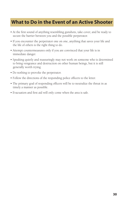### **What to Do in the Event of an Active Shooter**

- At the first sound of anything resembling gunshots, take cover, and be ready to secure the barrier between you and the possible perpetrator.
- If you encounter the perpetrator one on one, anything that saves your life and the life of others is the right thing to do.
- Attempt countermeasures only if you are convinced that your life is in immediate danger.
- Speaking quietly and reassuringly may not work on someone who is determined to bring vengeance and destruction on other human beings, but it is still generally worth trying.
- Do nothing to provoke the perpetrator.
- Follow the directions of the responding police officers to the letter.
- The primary goal of responding officers will be to neutralize the threat in as timely a manner as possible.
- Evacuation and first aid will only come when the area is safe.